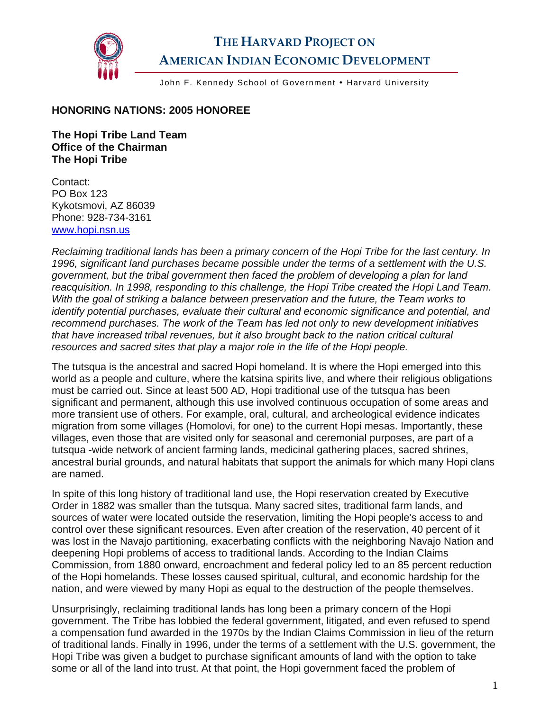

## **THE HARVARD PROJECT ON AMERICAN INDIAN ECONOMIC DEVELOPMENT**

John F. Kennedy School of Government . Harvard University

## **HONORING NATIONS: 2005 HONOREE**

**The Hopi Tribe Land Team Office of the Chairman The Hopi Tribe** 

Contact: PO Box 123 Kykotsmovi, AZ 86039 Phone: 928-734-3161 [www.hopi.nsn.us](http://www.hopi.nsn.us/) 

*Reclaiming traditional lands has been a primary concern of the Hopi Tribe for the last century. In 1996, significant land purchases became possible under the terms of a settlement with the U.S. government, but the tribal government then faced the problem of developing a plan for land reacquisition. In 1998, responding to this challenge, the Hopi Tribe created the Hopi Land Team. With the goal of striking a balance between preservation and the future, the Team works to identify potential purchases, evaluate their cultural and economic significance and potential, and recommend purchases. The work of the Team has led not only to new development initiatives that have increased tribal revenues, but it also brought back to the nation critical cultural resources and sacred sites that play a major role in the life of the Hopi people.* 

The tutsqua is the ancestral and sacred Hopi homeland. It is where the Hopi emerged into this world as a people and culture, where the katsina spirits live, and where their religious obligations must be carried out. Since at least 500 AD, Hopi traditional use of the tutsqua has been significant and permanent, although this use involved continuous occupation of some areas and more transient use of others. For example, oral, cultural, and archeological evidence indicates migration from some villages (Homolovi, for one) to the current Hopi mesas. Importantly, these villages, even those that are visited only for seasonal and ceremonial purposes, are part of a tutsqua -wide network of ancient farming lands, medicinal gathering places, sacred shrines, ancestral burial grounds, and natural habitats that support the animals for which many Hopi clans are named.

In spite of this long history of traditional land use, the Hopi reservation created by Executive Order in 1882 was smaller than the tutsqua. Many sacred sites, traditional farm lands, and sources of water were located outside the reservation, limiting the Hopi people's access to and control over these significant resources. Even after creation of the reservation, 40 percent of it was lost in the Navajo partitioning, exacerbating conflicts with the neighboring Navajo Nation and deepening Hopi problems of access to traditional lands. According to the Indian Claims Commission, from 1880 onward, encroachment and federal policy led to an 85 percent reduction of the Hopi homelands. These losses caused spiritual, cultural, and economic hardship for the nation, and were viewed by many Hopi as equal to the destruction of the people themselves.

Unsurprisingly, reclaiming traditional lands has long been a primary concern of the Hopi government. The Tribe has lobbied the federal government, litigated, and even refused to spend a compensation fund awarded in the 1970s by the Indian Claims Commission in lieu of the return of traditional lands. Finally in 1996, under the terms of a settlement with the U.S. government, the Hopi Tribe was given a budget to purchase significant amounts of land with the option to take some or all of the land into trust. At that point, the Hopi government faced the problem of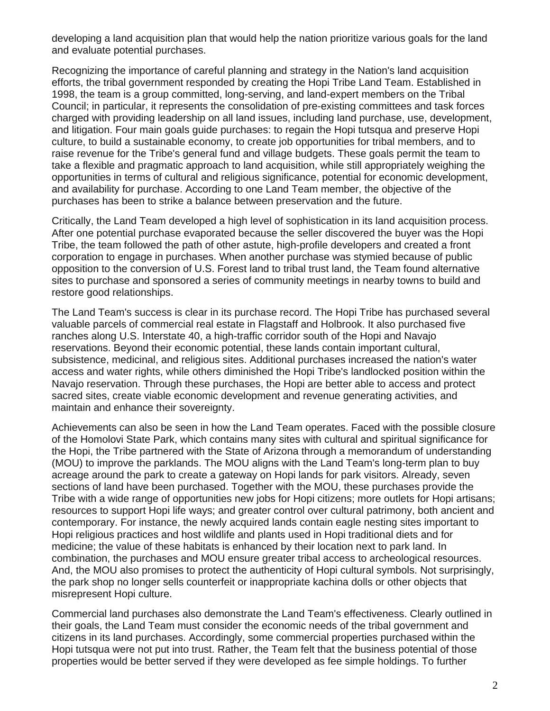developing a land acquisition plan that would help the nation prioritize various goals for the land and evaluate potential purchases.

Recognizing the importance of careful planning and strategy in the Nation's land acquisition efforts, the tribal government responded by creating the Hopi Tribe Land Team. Established in 1998, the team is a group committed, long-serving, and land-expert members on the Tribal Council; in particular, it represents the consolidation of pre-existing committees and task forces charged with providing leadership on all land issues, including land purchase, use, development, and litigation. Four main goals guide purchases: to regain the Hopi tutsqua and preserve Hopi culture, to build a sustainable economy, to create job opportunities for tribal members, and to raise revenue for the Tribe's general fund and village budgets. These goals permit the team to take a flexible and pragmatic approach to land acquisition, while still appropriately weighing the opportunities in terms of cultural and religious significance, potential for economic development, and availability for purchase. According to one Land Team member, the objective of the purchases has been to strike a balance between preservation and the future.

Critically, the Land Team developed a high level of sophistication in its land acquisition process. After one potential purchase evaporated because the seller discovered the buyer was the Hopi Tribe, the team followed the path of other astute, high-profile developers and created a front corporation to engage in purchases. When another purchase was stymied because of public opposition to the conversion of U.S. Forest land to tribal trust land, the Team found alternative sites to purchase and sponsored a series of community meetings in nearby towns to build and restore good relationships.

The Land Team's success is clear in its purchase record. The Hopi Tribe has purchased several valuable parcels of commercial real estate in Flagstaff and Holbrook. It also purchased five ranches along U.S. Interstate 40, a high-traffic corridor south of the Hopi and Navajo reservations. Beyond their economic potential, these lands contain important cultural, subsistence, medicinal, and religious sites. Additional purchases increased the nation's water access and water rights, while others diminished the Hopi Tribe's landlocked position within the Navajo reservation. Through these purchases, the Hopi are better able to access and protect sacred sites, create viable economic development and revenue generating activities, and maintain and enhance their sovereignty.

Achievements can also be seen in how the Land Team operates. Faced with the possible closure of the Homolovi State Park, which contains many sites with cultural and spiritual significance for the Hopi, the Tribe partnered with the State of Arizona through a memorandum of understanding (MOU) to improve the parklands. The MOU aligns with the Land Team's long-term plan to buy acreage around the park to create a gateway on Hopi lands for park visitors. Already, seven sections of land have been purchased. Together with the MOU, these purchases provide the Tribe with a wide range of opportunities new jobs for Hopi citizens; more outlets for Hopi artisans; resources to support Hopi life ways; and greater control over cultural patrimony, both ancient and contemporary. For instance, the newly acquired lands contain eagle nesting sites important to Hopi religious practices and host wildlife and plants used in Hopi traditional diets and for medicine; the value of these habitats is enhanced by their location next to park land. In combination, the purchases and MOU ensure greater tribal access to archeological resources. And, the MOU also promises to protect the authenticity of Hopi cultural symbols. Not surprisingly, the park shop no longer sells counterfeit or inappropriate kachina dolls or other objects that misrepresent Hopi culture.

Commercial land purchases also demonstrate the Land Team's effectiveness. Clearly outlined in their goals, the Land Team must consider the economic needs of the tribal government and citizens in its land purchases. Accordingly, some commercial properties purchased within the Hopi tutsqua were not put into trust. Rather, the Team felt that the business potential of those properties would be better served if they were developed as fee simple holdings. To further